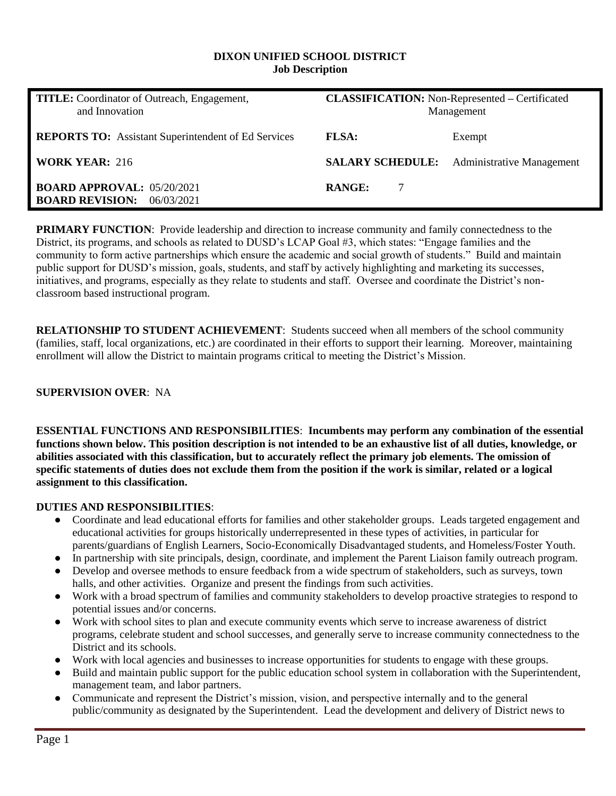#### **DIXON UNIFIED SCHOOL DISTRICT Job Description**

| <b>TITLE:</b> Coordinator of Outreach, Engagement,<br>and Innovation   | <b>CLASSIFICATION:</b> Non-Represented - Certificated<br>Management |                                                   |  |
|------------------------------------------------------------------------|---------------------------------------------------------------------|---------------------------------------------------|--|
| <b>REPORTS TO:</b> Assistant Superintendent of Ed Services             | <b>FLSA:</b>                                                        | Exempt                                            |  |
| <b>WORK YEAR: 216</b>                                                  |                                                                     | <b>SALARY SCHEDULE:</b> Administrative Management |  |
| <b>BOARD APPROVAL: 05/20/2021</b><br><b>BOARD REVISION:</b> 06/03/2021 | <b>RANGE:</b><br>7                                                  |                                                   |  |

**PRIMARY FUNCTION:** Provide leadership and direction to increase community and family connectedness to the District, its programs, and schools as related to DUSD's LCAP Goal #3, which states: "Engage families and the community to form active partnerships which ensure the academic and social growth of students." Build and maintain public support for DUSD's mission, goals, students, and staff by actively highlighting and marketing its successes, initiatives, and programs, especially as they relate to students and staff. Oversee and coordinate the District's nonclassroom based instructional program.

**RELATIONSHIP TO STUDENT ACHIEVEMENT**: Students succeed when all members of the school community (families, staff, local organizations, etc.) are coordinated in their efforts to support their learning. Moreover, maintaining enrollment will allow the District to maintain programs critical to meeting the District's Mission.

## **SUPERVISION OVER**: NA

**ESSENTIAL FUNCTIONS AND RESPONSIBILITIES**: **Incumbents may perform any combination of the essential functions shown below. This position description is not intended to be an exhaustive list of all duties, knowledge, or abilities associated with this classification, but to accurately reflect the primary job elements. The omission of specific statements of duties does not exclude them from the position if the work is similar, related or a logical assignment to this classification.**

#### **DUTIES AND RESPONSIBILITIES**:

- Coordinate and lead educational efforts for families and other stakeholder groups. Leads targeted engagement and educational activities for groups historically underrepresented in these types of activities, in particular for parents/guardians of English Learners, Socio-Economically Disadvantaged students, and Homeless/Foster Youth.
- In partnership with site principals, design, coordinate, and implement the Parent Liaison family outreach program.
- Develop and oversee methods to ensure feedback from a wide spectrum of stakeholders, such as surveys, town halls, and other activities. Organize and present the findings from such activities.
- Work with a broad spectrum of families and community stakeholders to develop proactive strategies to respond to potential issues and/or concerns.
- Work with school sites to plan and execute community events which serve to increase awareness of district programs, celebrate student and school successes, and generally serve to increase community connectedness to the District and its schools.
- Work with local agencies and businesses to increase opportunities for students to engage with these groups.
- Build and maintain public support for the public education school system in collaboration with the Superintendent, management team, and labor partners.
- Communicate and represent the District's mission, vision, and perspective internally and to the general public/community as designated by the Superintendent. Lead the development and delivery of District news to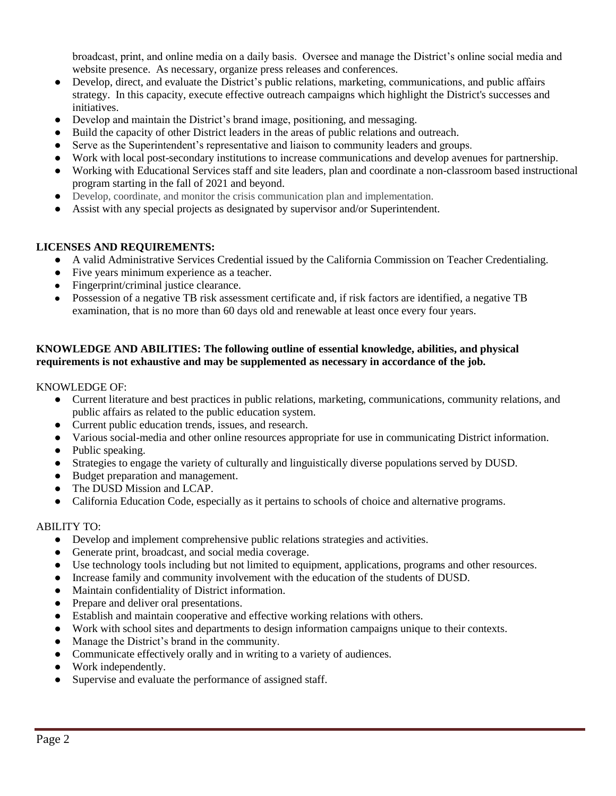broadcast, print, and online media on a daily basis. Oversee and manage the District's online social media and website presence. As necessary, organize press releases and conferences.

- Develop, direct, and evaluate the District's public relations, marketing, communications, and public affairs strategy. In this capacity, execute effective outreach campaigns which highlight the District's successes and initiatives.
- Develop and maintain the District's brand image, positioning, and messaging.
- Build the capacity of other District leaders in the areas of public relations and outreach.
- Serve as the Superintendent's representative and liaison to community leaders and groups.
- Work with local post-secondary institutions to increase communications and develop avenues for partnership.
- Working with Educational Services staff and site leaders, plan and coordinate a non-classroom based instructional program starting in the fall of 2021 and beyond.
- Develop, coordinate, and monitor the crisis communication plan and implementation.
- Assist with any special projects as designated by supervisor and/or Superintendent.

## **LICENSES AND REQUIREMENTS:**

- A valid Administrative Services Credential issued by the California Commission on Teacher Credentialing.
- Five years minimum experience as a teacher.
- Fingerprint/criminal justice clearance.
- Possession of a negative TB risk assessment certificate and, if risk factors are identified, a negative TB examination, that is no more than 60 days old and renewable at least once every four years.

## **KNOWLEDGE AND ABILITIES: The following outline of essential knowledge, abilities, and physical requirements is not exhaustive and may be supplemented as necessary in accordance of the job.**

KNOWLEDGE OF:

- Current literature and best practices in public relations, marketing, communications, community relations, and public affairs as related to the public education system.
- Current public education trends, issues, and research.
- Various social-media and other online resources appropriate for use in communicating District information.
- Public speaking.
- Strategies to engage the variety of culturally and linguistically diverse populations served by DUSD.
- Budget preparation and management.
- The DUSD Mission and LCAP.
- California Education Code, especially as it pertains to schools of choice and alternative programs.

#### ABILITY TO:

- Develop and implement comprehensive public relations strategies and activities.
- Generate print, broadcast, and social media coverage.
- Use technology tools including but not limited to equipment, applications, programs and other resources.
- Increase family and community involvement with the education of the students of DUSD.
- Maintain confidentiality of District information.
- Prepare and deliver oral presentations.
- Establish and maintain cooperative and effective working relations with others.
- Work with school sites and departments to design information campaigns unique to their contexts.
- Manage the District's brand in the community.
- Communicate effectively orally and in writing to a variety of audiences.
- Work independently.
- Supervise and evaluate the performance of assigned staff.